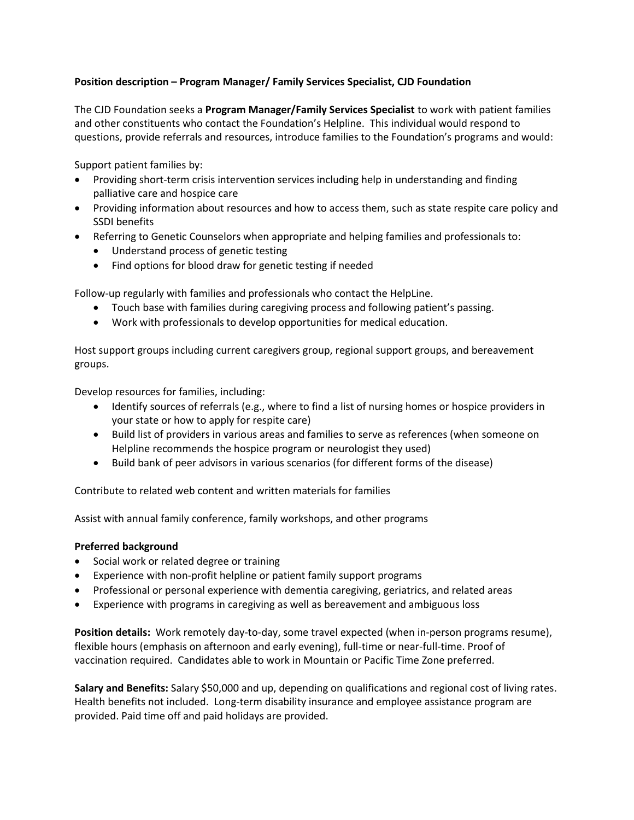## **Position description – Program Manager/ Family Services Specialist, CJD Foundation**

The CJD Foundation seeks a **Program Manager/Family Services Specialist** to work with patient families and other constituents who contact the Foundation's Helpline. This individual would respond to questions, provide referrals and resources, introduce families to the Foundation's programs and would:

Support patient families by:

- Providing short-term crisis intervention services including help in understanding and finding palliative care and hospice care
- Providing information about resources and how to access them, such as state respite care policy and SSDI benefits
- Referring to Genetic Counselors when appropriate and helping families and professionals to:
	- Understand process of genetic testing
	- Find options for blood draw for genetic testing if needed

Follow-up regularly with families and professionals who contact the HelpLine.

- Touch base with families during caregiving process and following patient's passing.
- Work with professionals to develop opportunities for medical education.

Host support groups including current caregivers group, regional support groups, and bereavement groups.

Develop resources for families, including:

- Identify sources of referrals (e.g., where to find a list of nursing homes or hospice providers in your state or how to apply for respite care)
- Build list of providers in various areas and families to serve as references (when someone on Helpline recommends the hospice program or neurologist they used)
- Build bank of peer advisors in various scenarios (for different forms of the disease)

Contribute to related web content and written materials for families

Assist with annual family conference, family workshops, and other programs

## **Preferred background**

- Social work or related degree or training
- Experience with non-profit helpline or patient family support programs
- Professional or personal experience with dementia caregiving, geriatrics, and related areas
- Experience with programs in caregiving as well as bereavement and ambiguous loss

**Position details:** Work remotely day-to-day, some travel expected (when in-person programs resume), flexible hours (emphasis on afternoon and early evening), full-time or near-full-time. Proof of vaccination required. Candidates able to work in Mountain or Pacific Time Zone preferred.

Salary and Benefits: Salary \$50,000 and up, depending on qualifications and regional cost of living rates. Health benefits not included. Long-term disability insurance and employee assistance program are provided. Paid time off and paid holidays are provided.